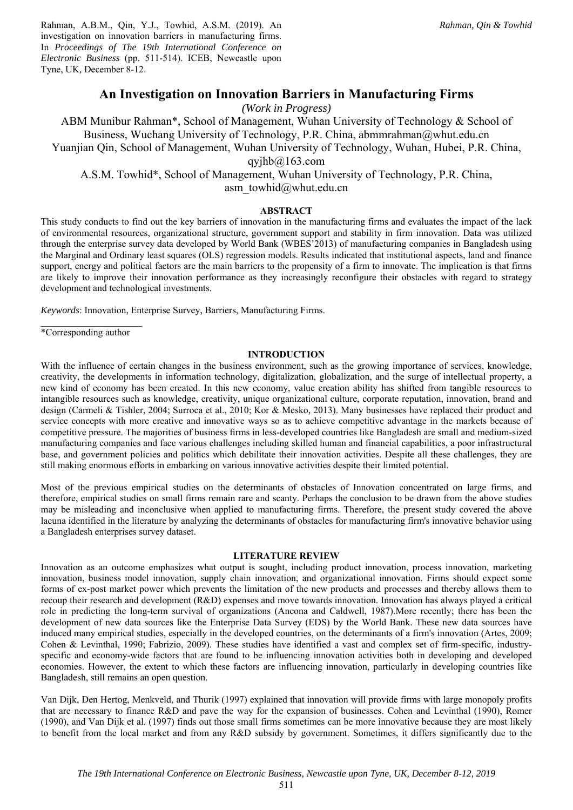Rahman, A.B.M., Qin, Y.J., Towhid, A.S.M. (2019). An investigation on innovation barriers in manufacturing firms. In *Proceedings of The 19th International Conference on Electronic Business* (pp. 511-514). ICEB, Newcastle upon Tyne, UK, December 8-12.

# **An Investigation on Innovation Barriers in Manufacturing Firms**

*(Work in Progress)*

ABM Munibur Rahman\*, School of Management, Wuhan University of Technology & School of Business, Wuchang University of Technology, P.R. China, abmmrahman@whut.edu.cn Yuanjian Qin, School of Management, Wuhan University of Technology, Wuhan, Hubei, P.R. China, qyj $h\bar{b}$ @163.com A.S.M. Towhid\*, School of Management, Wuhan University of Technology, P.R. China,

asm\_towhid@whut.edu.cn

## **ABSTRACT**

This study conducts to find out the key barriers of innovation in the manufacturing firms and evaluates the impact of the lack of environmental resources, organizational structure, government support and stability in firm innovation. Data was utilized through the enterprise survey data developed by World Bank (WBES'2013) of manufacturing companies in Bangladesh using the Marginal and Ordinary least squares (OLS) regression models. Results indicated that institutional aspects, land and finance support, energy and political factors are the main barriers to the propensity of a firm to innovate. The implication is that firms are likely to improve their innovation performance as they increasingly reconfigure their obstacles with regard to strategy development and technological investments.

*Keywords*: Innovation, Enterprise Survey, Barriers, Manufacturing Firms.

 $\mathcal{L}=\mathcal{L}^{\mathcal{L}}$  , where  $\mathcal{L}^{\mathcal{L}}$  , we have the set of  $\mathcal{L}^{\mathcal{L}}$ \*Corresponding author

## **INTRODUCTION**

With the influence of certain changes in the business environment, such as the growing importance of services, knowledge, creativity, the developments in information technology, digitalization, globalization, and the surge of intellectual property, a new kind of economy has been created. In this new economy, value creation ability has shifted from tangible resources to intangible resources such as knowledge, creativity, unique organizational culture, corporate reputation, innovation, brand and design (Carmeli & Tishler, 2004; Surroca et al., 2010; Kor & Mesko, 2013). Many businesses have replaced their product and service concepts with more creative and innovative ways so as to achieve competitive advantage in the markets because of competitive pressure. The majorities of business firms in less-developed countries like Bangladesh are small and medium-sized manufacturing companies and face various challenges including skilled human and financial capabilities, a poor infrastructural base, and government policies and politics which debilitate their innovation activities. Despite all these challenges, they are still making enormous efforts in embarking on various innovative activities despite their limited potential.

Most of the previous empirical studies on the determinants of obstacles of Innovation concentrated on large firms, and therefore, empirical studies on small firms remain rare and scanty. Perhaps the conclusion to be drawn from the above studies may be misleading and inconclusive when applied to manufacturing firms. Therefore, the present study covered the above lacuna identified in the literature by analyzing the determinants of obstacles for manufacturing firm's innovative behavior using a Bangladesh enterprises survey dataset.

#### **LITERATURE REVIEW**

Innovation as an outcome emphasizes what output is sought, including product innovation, process innovation, marketing innovation, business model innovation, supply chain innovation, and organizational innovation. Firms should expect some forms of ex-post market power which prevents the limitation of the new products and processes and thereby allows them to recoup their research and development (R&D) expenses and move towards innovation. Innovation has always played a critical role in predicting the long-term survival of organizations (Ancona and Caldwell, 1987).More recently; there has been the development of new data sources like the Enterprise Data Survey (EDS) by the World Bank. These new data sources have induced many empirical studies, especially in the developed countries, on the determinants of a firm's innovation (Artes, 2009; Cohen & Levinthal, 1990; Fabrizio, 2009). These studies have identified a vast and complex set of firm-specific, industryspecific and economy-wide factors that are found to be influencing innovation activities both in developing and developed economies. However, the extent to which these factors are influencing innovation, particularly in developing countries like Bangladesh, still remains an open question.

Van Dijk, Den Hertog, Menkveld, and Thurik (1997) explained that innovation will provide firms with large monopoly profits that are necessary to finance R&D and pave the way for the expansion of businesses. Cohen and Levinthal (1990), Romer (1990), and Van Dijk et al. (1997) finds out those small firms sometimes can be more innovative because they are most likely to benefit from the local market and from any R&D subsidy by government. Sometimes, it differs significantly due to the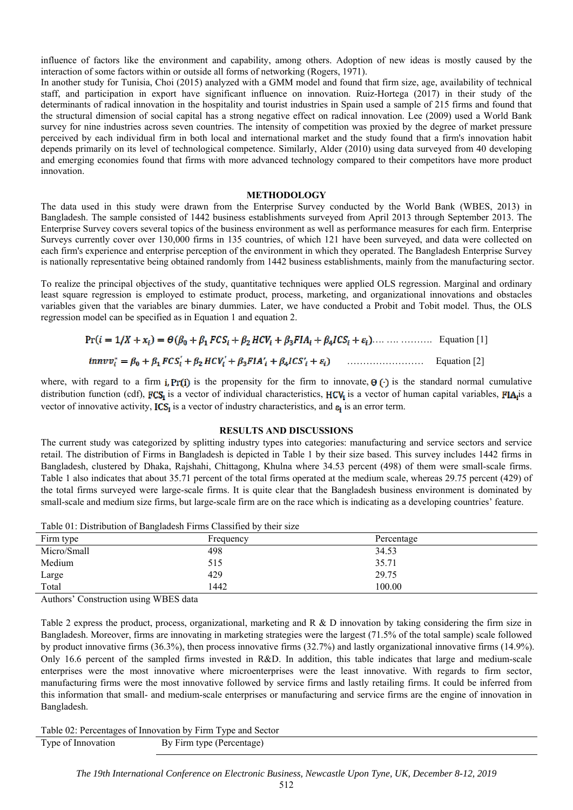influence of factors like the environment and capability, among others. Adoption of new ideas is mostly caused by the interaction of some factors within or outside all forms of networking (Rogers, 1971).

In another study for Tunisia, Choi (2015) analyzed with a GMM model and found that firm size, age, availability of technical staff, and participation in export have significant influence on innovation. Ruiz-Hortega (2017) in their study of the determinants of radical innovation in the hospitality and tourist industries in Spain used a sample of 215 firms and found that the structural dimension of social capital has a strong negative effect on radical innovation. Lee (2009) used a World Bank survey for nine industries across seven countries. The intensity of competition was proxied by the degree of market pressure perceived by each individual firm in both local and international market and the study found that a firm's innovation habit depends primarily on its level of technological competence. Similarly, Alder (2010) using data surveyed from 40 developing and emerging economies found that firms with more advanced technology compared to their competitors have more product innovation.

### **METHODOLOGY**

The data used in this study were drawn from the Enterprise Survey conducted by the World Bank (WBES, 2013) in Bangladesh. The sample consisted of 1442 business establishments surveyed from April 2013 through September 2013. The Enterprise Survey covers several topics of the business environment as well as performance measures for each firm. Enterprise Surveys currently cover over 130,000 firms in 135 countries, of which 121 have been surveyed, and data were collected on each firm's experience and enterprise perception of the environment in which they operated. The Bangladesh Enterprise Survey is nationally representative being obtained randomly from 1442 business establishments, mainly from the manufacturing sector.

To realize the principal objectives of the study, quantitative techniques were applied OLS regression. Marginal and ordinary least square regression is employed to estimate product, process, marketing, and organizational innovations and obstacles variables given that the variables are binary dummies. Later, we have conducted a Probit and Tobit model. Thus, the OLS regression model can be specified as in Equation 1 and equation 2.

…. …. ………. Equation [1] …………………… Equation [2]

where, with regard to a firm **i**, Pr(i) is the propensity for the firm to innovate,  $\theta$  ( $\cdot$ ) is the standard normal cumulative distribution function (cdf),  $FCS<sub>i</sub>$  is a vector of individual characteristics,  $HCV<sub>i</sub>$  is a vector of human capital variables,  $FIA<sub>i</sub>$ is a vector of innovative activity,  $ICS<sub>i</sub>$  is a vector of industry characteristics, and  $\varepsilon<sub>i</sub>$  is an error term.

#### **RESULTS AND DISCUSSIONS**

The current study was categorized by splitting industry types into categories: manufacturing and service sectors and service retail. The distribution of Firms in Bangladesh is depicted in Table 1 by their size based. This survey includes 1442 firms in Bangladesh, clustered by Dhaka, Rajshahi, Chittagong, Khulna where 34.53 percent (498) of them were small-scale firms. Table 1 also indicates that about 35.71 percent of the total firms operated at the medium scale, whereas 29.75 percent (429) of the total firms surveyed were large-scale firms. It is quite clear that the Bangladesh business environment is dominated by small-scale and medium size firms, but large-scale firm are on the race which is indicating as a developing countries' feature.

Table 01: Distribution of Bangladesh Firms Classified by their size

| ↩           |           |            |
|-------------|-----------|------------|
| Firm type   | Frequency | Percentage |
| Micro/Small | 498       | 34.53      |
| Medium      | 515       | 35.71      |
| Large       | 429       | 29.75      |
| Total       | 1442      | 100.00     |

Authors' Construction using WBES data

Table 2 express the product, process, organizational, marketing and R & D innovation by taking considering the firm size in Bangladesh. Moreover, firms are innovating in marketing strategies were the largest (71.5% of the total sample) scale followed by product innovative firms (36.3%), then process innovative firms (32.7%) and lastly organizational innovative firms (14.9%). Only 16.6 percent of the sampled firms invested in R&D. In addition, this table indicates that large and medium-scale enterprises were the most innovative where microenterprises were the least innovative. With regards to firm sector, manufacturing firms were the most innovative followed by service firms and lastly retailing firms. It could be inferred from this information that small- and medium-scale enterprises or manufacturing and service firms are the engine of innovation in Bangladesh.

Table 02: Percentages of Innovation by Firm Type and Sector

Type of Innovation By Firm type (Percentage)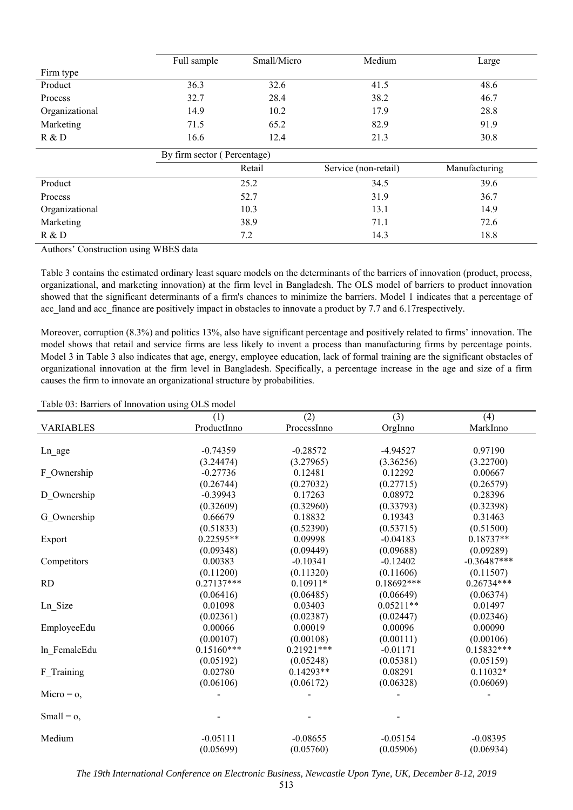|                | Full sample                 | Small/Micro | Medium               | Large         |  |
|----------------|-----------------------------|-------------|----------------------|---------------|--|
| Firm type      |                             |             |                      |               |  |
| Product        | 36.3                        | 32.6        | 41.5                 | 48.6          |  |
| Process        | 32.7                        | 28.4        | 38.2                 | 46.7          |  |
| Organizational | 14.9                        | 10.2        | 17.9                 | 28.8          |  |
| Marketing      | 71.5                        | 65.2        | 82.9                 | 91.9          |  |
| R & D          | 16.6                        | 12.4        | 21.3                 | 30.8          |  |
|                | By firm sector (Percentage) |             |                      |               |  |
|                | Retail                      |             | Service (non-retail) | Manufacturing |  |
| Product        | 25.2                        |             | 34.5                 | 39.6          |  |
| Process        | 52.7                        |             | 31.9                 | 36.7          |  |
| Organizational | 10.3                        |             | 13.1                 | 14.9          |  |
| Marketing      | 38.9                        |             | 71.1                 | 72.6          |  |
| R & D          | 7.2                         |             | 14.3                 | 18.8          |  |

Authors' Construction using WBES data

Table 3 contains the estimated ordinary least square models on the determinants of the barriers of innovation (product, process, organizational, and marketing innovation) at the firm level in Bangladesh. The OLS model of barriers to product innovation showed that the significant determinants of a firm's chances to minimize the barriers. Model 1 indicates that a percentage of acc\_land and acc\_finance are positively impact in obstacles to innovate a product by 7.7 and 6.17respectively.

Moreover, corruption (8.3%) and politics 13%, also have significant percentage and positively related to firms' innovation. The model shows that retail and service firms are less likely to invent a process than manufacturing firms by percentage points. Model 3 in Table 3 also indicates that age, energy, employee education, lack of formal training are the significant obstacles of organizational innovation at the firm level in Bangladesh. Specifically, a percentage increase in the age and size of a firm causes the firm to innovate an organizational structure by probabilities.

Table 03: Barriers of Innovation using OLS model

|                  | (1)          | (2)          | (3)          | (4)           |
|------------------|--------------|--------------|--------------|---------------|
| <b>VARIABLES</b> | ProductInno  | ProcessInno  | OrgInno      | MarkInno      |
|                  |              |              |              |               |
| Ln_age           | $-0.74359$   | $-0.28572$   | $-4.94527$   | 0.97190       |
|                  | (3.24474)    | (3.27965)    | (3.36256)    | (3.22700)     |
| F Ownership      | $-0.27736$   | 0.12481      | 0.12292      | 0.00667       |
|                  | (0.26744)    | (0.27032)    | (0.27715)    | (0.26579)     |
| D Ownership      | $-0.39943$   | 0.17263      | 0.08972      | 0.28396       |
|                  | (0.32609)    | (0.32960)    | (0.33793)    | (0.32398)     |
| G Ownership      | 0.66679      | 0.18832      | 0.19343      | 0.31463       |
|                  | (0.51833)    | (0.52390)    | (0.53715)    | (0.51500)     |
| Export           | $0.22595**$  | 0.09998      | $-0.04183$   | $0.18737**$   |
|                  | (0.09348)    | (0.09449)    | (0.09688)    | (0.09289)     |
| Competitors      | 0.00383      | $-0.10341$   | $-0.12402$   | $-0.36487***$ |
|                  | (0.11200)    | (0.11320)    | (0.11606)    | (0.11507)     |
| <b>RD</b>        | $0.27137***$ | $0.10911*$   | $0.18692***$ | $0.26734***$  |
|                  | (0.06416)    | (0.06485)    | (0.06649)    | (0.06374)     |
| Ln_Size          | 0.01098      | 0.03403      | $0.05211**$  | 0.01497       |
|                  | (0.02361)    | (0.02387)    | (0.02447)    | (0.02346)     |
| EmployeeEdu      | 0.00066      | 0.00019      | 0.00096      | 0.00090       |
|                  | (0.00107)    | (0.00108)    | (0.00111)    | (0.00106)     |
| In FemaleEdu     | $0.15160***$ | $0.21921***$ | $-0.01171$   | $0.15832***$  |
|                  | (0.05192)    | (0.05248)    | (0.05381)    | (0.05159)     |
| F Training       | 0.02780      | $0.14293**$  | 0.08291      | $0.11032*$    |
|                  | (0.06106)    | (0.06172)    | (0.06328)    | (0.06069)     |
| Micro = $o$ ,    |              |              |              |               |
|                  |              |              |              |               |
| Small = $o$ ,    |              |              |              |               |
| Medium           | $-0.05111$   | $-0.08655$   | $-0.05154$   | $-0.08395$    |
|                  | (0.05699)    | (0.05760)    | (0.05906)    | (0.06934)     |

*The 19th International Conference on Electronic Business, Newcastle Upon Tyne, UK, December 8-12, 2019*